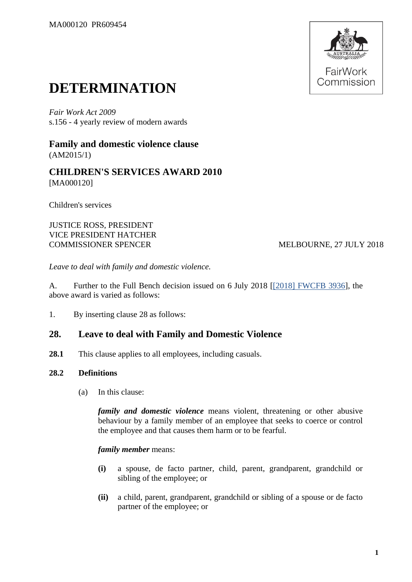

# **DETERMINATION**

*Fair Work Act 2009*  s.156 - 4 yearly review of modern awards

**Family and domestic violence clause** (AM2015/1)

**CHILDREN'S SERVICES AWARD 2010** [MA000120]

Children's services

JUSTICE ROSS, PRESIDENT VICE PRESIDENT HATCHER COMMISSIONER SPENCER MELBOURNE, 27 JULY 2018

*Leave to deal with family and domestic violence.*

A. Further to the Full Bench decision issued on 6 July 2018 [\[\[2018\] FWCFB 3936\]](https://www.fwc.gov.au/documents/decisionssigned/html/2018fwcfb3936.htm), the above award is varied as follows:

1. By inserting clause 28 as follows:

# **28. Leave to deal with Family and Domestic Violence**

28.1 This clause applies to all employees, including casuals.

## **28.2 Definitions**

(a) In this clause:

*family and domestic violence* means violent, threatening or other abusive behaviour by a family member of an employee that seeks to coerce or control the employee and that causes them harm or to be fearful.

#### *family member* means:

- **(i)** a spouse, de facto partner, child, parent, grandparent, grandchild or sibling of the employee; or
- **(ii)** a child, parent, grandparent, grandchild or sibling of a spouse or de facto partner of the employee; or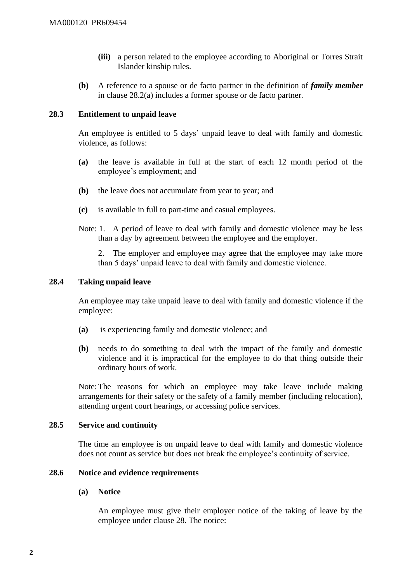- **(iii)** a person related to the employee according to Aboriginal or Torres Strait Islander kinship rules.
- **(b)** A reference to a spouse or de facto partner in the definition of *family member* in clause 28.2(a) includes a former spouse or de facto partner.

#### **28.3 Entitlement to unpaid leave**

An employee is entitled to 5 days' unpaid leave to deal with family and domestic violence, as follows:

- **(a)** the leave is available in full at the start of each 12 month period of the employee's employment; and
- **(b)** the leave does not accumulate from year to year; and
- **(c)** is available in full to part-time and casual employees.
- Note: 1. A period of leave to deal with family and domestic violence may be less than a day by agreement between the employee and the employer.

2. The employer and employee may agree that the employee may take more than 5 days' unpaid leave to deal with family and domestic violence.

#### **28.4 Taking unpaid leave**

An employee may take unpaid leave to deal with family and domestic violence if the employee:

- **(a)** is experiencing family and domestic violence; and
- **(b)** needs to do something to deal with the impact of the family and domestic violence and it is impractical for the employee to do that thing outside their ordinary hours of work.

Note:The reasons for which an employee may take leave include making arrangements for their safety or the safety of a family member (including relocation), attending urgent court hearings, or accessing police services.

#### **28.5 Service and continuity**

The time an employee is on unpaid leave to deal with family and domestic violence does not count as service but does not break the employee's continuity of service.

#### **28.6 Notice and evidence requirements**

#### **(a) Notice**

An employee must give their employer notice of the taking of leave by the employee under clause 28. The notice: